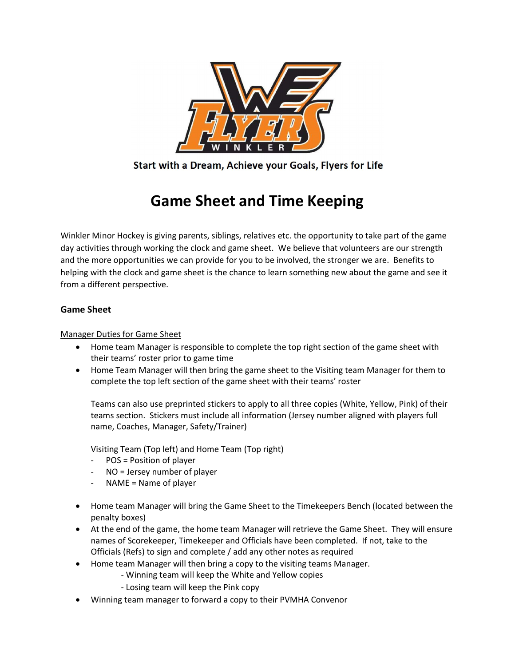

Start with a Dream, Achieve your Goals, Flyers for Life

# Game Sheet and Time Keeping

Winkler Minor Hockey is giving parents, siblings, relatives etc. the opportunity to take part of the game day activities through working the clock and game sheet. We believe that volunteers are our strength and the more opportunities we can provide for you to be involved, the stronger we are. Benefits to helping with the clock and game sheet is the chance to learn something new about the game and see it from a different perspective.

## Game Sheet

## Manager Duties for Game Sheet

- Home team Manager is responsible to complete the top right section of the game sheet with their teams' roster prior to game time
- Home Team Manager will then bring the game sheet to the Visiting team Manager for them to complete the top left section of the game sheet with their teams' roster

Teams can also use preprinted stickers to apply to all three copies (White, Yellow, Pink) of their teams section. Stickers must include all information (Jersey number aligned with players full name, Coaches, Manager, Safety/Trainer)

Visiting Team (Top left) and Home Team (Top right)

- POS = Position of player
- NO = Jersey number of player
- $NAME = Name of player$
- Home team Manager will bring the Game Sheet to the Timekeepers Bench (located between the penalty boxes)
- At the end of the game, the home team Manager will retrieve the Game Sheet. They will ensure names of Scorekeeper, Timekeeper and Officials have been completed. If not, take to the Officials (Refs) to sign and complete / add any other notes as required
- Home team Manager will then bring a copy to the visiting teams Manager.
	- Winning team will keep the White and Yellow copies
	- Losing team will keep the Pink copy
- Winning team manager to forward a copy to their PVMHA Convenor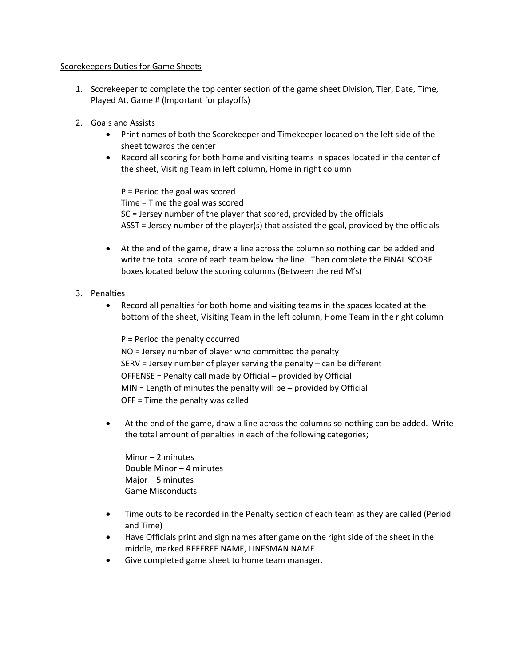### Scorekeepers Duties for Game Sheets

- 1. Scorekeeper to complete the top center section of the game sheet Division, Tier, Date, Time, Played At, Game # (Important for playoffs)
- 2. Goals and Assists
	- Print names of both the Scorekeeper and Timekeeper located on the left side of the sheet towards the center
	- Record all scoring for both home and visiting teams in spaces located in the center of the sheet, Visiting Team in left column, Home in right column

P = Period the goal was scored Time = Time the goal was scored SC = Jersey number of the player that scored, provided by the officials ASST = Jersey number of the player(s) that assisted the goal, provided by the officials

 At the end of the game, draw a line across the column so nothing can be added and write the total score of each team below the line. Then complete the FINAL SCORE boxes located below the scoring columns (Between the red M's)

### 3. Penalties

 Record all penalties for both home and visiting teams in the spaces located at the bottom of the sheet, Visiting Team in the left column, Home Team in the right column

P = Period the penalty occurred NO = Jersey number of player who committed the penalty SERV = Jersey number of player serving the penalty – can be different OFFENSE = Penalty call made by Official – provided by Official MIN = Length of minutes the penalty will be – provided by Official OFF = Time the penalty was called

 At the end of the game, draw a line across the columns so nothing can be added. Write the total amount of penalties in each of the following categories;

Minor – 2 minutes Double Minor – 4 minutes Major – 5 minutes Game Misconducts

- Time outs to be recorded in the Penalty section of each team as they are called (Period and Time)
- Have Officials print and sign names after game on the right side of the sheet in the middle, marked REFEREE NAME, LINESMAN NAME
- Give completed game sheet to home team manager.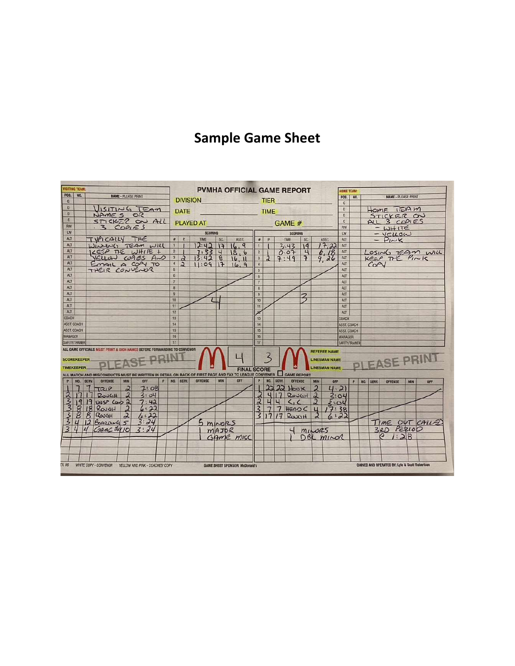# Sample Game Sheet

| <b>VISITING TEAM:</b>                                                                                              |                    |            |                                                              |                     |      |   | <b>PVMHA OFFICIAL GAME REPORT</b> |                         |                             |                      |                                       |                                     |                |        |                      |                          |                              | <b>IOME TEAM:</b>             |                            |                        |                 |                                                          |            |                  |  |
|--------------------------------------------------------------------------------------------------------------------|--------------------|------------|--------------------------------------------------------------|---------------------|------|---|-----------------------------------|-------------------------|-----------------------------|----------------------|---------------------------------------|-------------------------------------|----------------|--------|----------------------|--------------------------|------------------------------|-------------------------------|----------------------------|------------------------|-----------------|----------------------------------------------------------|------------|------------------|--|
| <b>POS.</b><br>G                                                                                                   |                    | <b>NO.</b> | <b>NAME - PLEASE PRINT</b>                                   |                     |      |   |                                   |                         |                             |                      | <b>DIVISION</b>                       | <b>TIER</b>                         |                |        |                      |                          | POS.                         | NO.                           | <b>NAME - PLEASE PRINT</b> |                        |                 |                                                          |            |                  |  |
| $\mathbf{D}$                                                                                                       |                    |            |                                                              |                     |      |   |                                   |                         |                             |                      |                                       |                                     |                |        |                      |                          |                              | G                             |                            |                        |                 |                                                          |            |                  |  |
| $\mathbf{D}$                                                                                                       |                    |            | VISITING TEAM<br>$NAmES$ OR                                  |                     |      |   |                                   | <b>DATE</b>             |                             | <u>estas de la p</u> |                                       | <b>TIME</b>                         |                |        |                      |                          | $\mathbf{D}$<br>$\mathbf{D}$ |                               |                            |                        | HOME TEAM       |                                                          |            |                  |  |
| C                                                                                                                  |                    |            | STICKER ON ALL                                               |                     |      |   |                                   |                         |                             |                      |                                       |                                     |                |        |                      |                          |                              |                               |                            |                        |                 | STICKER OU                                               |            |                  |  |
| RW                                                                                                                 |                    |            | .3COPIES                                                     |                     |      |   |                                   | <b>PLAYED AT</b>        |                             |                      |                                       |                                     |                | GAME # |                      |                          |                              |                               |                            | ALL 3 COPIES<br>$= WH$ |                 |                                                          |            |                  |  |
| LW                                                                                                                 |                    |            |                                                              |                     |      |   | <b>SCORING</b>                    |                         |                             |                      |                                       |                                     | <b>SCORING</b> |        |                      |                          |                              |                               |                            | $=$ $Y_{I\sim K}$      |                 |                                                          |            |                  |  |
| ALT                                                                                                                |                    |            | TVPICALLY THE                                                |                     |      |   | #                                 | P                       | TIME                        | SC.                  | <b>ASST.</b>                          | $\theta$                            | P              |        | TIME                 | SC.                      | ASST.                        | ALT                           |                            |                        |                 |                                                          |            |                  |  |
| ALT                                                                                                                |                    |            | WINNING TEAM WILL                                            |                     |      |   | $1 -$                             | 四                       | 12:42                       | F                    | 16.9                                  | $\mathbf{1}$                        |                |        | 3.43                 | 19                       | 17,22                        | ALT                           |                            |                        |                 |                                                          |            |                  |  |
| ALT                                                                                                                |                    |            | ILESP THE WHITE +                                            |                     |      |   | $2 \mid$                          | ST 1                    | $7:334186$<br>13:42 8 16.11 |                      |                                       | $\overline{2}$                      |                |        | 0.07                 | $\overline{4}$           | 6,18                         | ALT                           |                            |                        |                 |                                                          |            | LOSING REAM WILL |  |
| ALT<br>ALT                                                                                                         |                    |            | YELLUN COPIES AND                                            |                     |      |   | $\overline{3}$                    | $\overline{a}$          |                             |                      | 16.11                                 | $\overline{3}$                      | $\overline{3}$ |        | 7:49                 | $\overline{P}$           | 9.26                         | ALT                           |                            |                        |                 | KEEP THE PINIS                                           |            |                  |  |
| ALT                                                                                                                |                    |            | EMAIL A COPY TO<br>THEIR CONVENUR                            |                     |      |   | $\frac{1}{4}$<br>$\overline{5}$   | $\overline{\mathbf{a}}$ | 11:09                       | 17                   | 16.9                                  |                                     |                |        |                      |                          |                              | ALT<br>ALT                    |                            |                        | CO <sub>2</sub> |                                                          |            |                  |  |
| ALT                                                                                                                |                    |            |                                                              |                     |      |   | 6                                 |                         |                             |                      |                                       | $\overline{5}$<br>6                 |                |        |                      |                          |                              | ALT                           |                            |                        |                 |                                                          |            |                  |  |
| ALT                                                                                                                |                    |            |                                                              |                     |      |   | $\overline{7}$                    |                         |                             |                      |                                       |                                     |                |        |                      |                          |                              | ALT                           |                            |                        |                 |                                                          |            |                  |  |
| ALT                                                                                                                |                    |            |                                                              |                     |      |   | $\overline{8}$                    |                         |                             |                      |                                       | $\bf{8}$                            |                |        |                      |                          |                              | ALT                           |                            |                        |                 |                                                          |            |                  |  |
| ALT                                                                                                                |                    |            |                                                              |                     |      |   | 9                                 |                         |                             |                      |                                       | $\overline{9}$                      |                |        |                      |                          |                              | ALT                           |                            |                        |                 |                                                          |            |                  |  |
| ALT                                                                                                                |                    |            |                                                              |                     |      |   | 10                                |                         |                             |                      |                                       | 10                                  |                |        |                      |                          |                              | ALT                           |                            |                        |                 |                                                          |            |                  |  |
| <b>ALT</b>                                                                                                         |                    |            |                                                              |                     |      |   | 11                                |                         |                             |                      |                                       | 11                                  |                |        |                      |                          |                              | ALT                           |                            |                        |                 |                                                          |            |                  |  |
| ALT                                                                                                                |                    |            |                                                              |                     |      |   | 12                                |                         |                             |                      |                                       | $\overline{\mathcal{L}}$            |                |        |                      |                          |                              | <b>ALT</b>                    |                            |                        |                 |                                                          |            |                  |  |
| COACH                                                                                                              |                    |            |                                                              |                     |      |   |                                   | 13                      |                             |                      |                                       |                                     | 13             |        |                      |                          |                              | COACH                         |                            |                        |                 |                                                          |            |                  |  |
| <b>ASST. COACH</b>                                                                                                 |                    |            |                                                              |                     |      |   |                                   | 14                      |                             |                      |                                       |                                     | 14             |        |                      |                          |                              |                               | <b>ASST, COACH</b>         |                        |                 |                                                          |            |                  |  |
| <b>ASST. COACH</b><br><b>MANAGER</b>                                                                               |                    |            |                                                              |                     |      |   | 16                                | 15                      |                             |                      |                                       |                                     | 15<br>16       |        |                      |                          |                              | <b>ASST. COACH</b><br>MANAGER |                            |                        |                 |                                                          |            |                  |  |
| SAFETY/TRAINER                                                                                                     |                    |            |                                                              |                     | 17   |   |                                   |                         |                             |                      |                                       |                                     |                |        |                      | SAFETY/TRAINER           |                              |                               |                            |                        |                 |                                                          |            |                  |  |
|                                                                                                                    |                    |            |                                                              |                     |      |   |                                   |                         |                             |                      |                                       |                                     |                |        |                      |                          |                              |                               |                            |                        |                 |                                                          |            |                  |  |
| ALL GAME OFFICIALS MUST PRINT & SIGN NAMES BEFORE FORWARDING TO CONVENOR<br><b>REFEREE NAME</b><br>ζ               |                    |            |                                                              |                     |      |   |                                   |                         |                             |                      |                                       |                                     |                |        |                      |                          |                              |                               |                            |                        |                 |                                                          |            |                  |  |
|                                                                                                                    | <b>SCOREKEEPER</b> |            |                                                              |                     |      |   |                                   |                         |                             |                      |                                       |                                     |                |        | <b>LINESMAN NAME</b> |                          |                              |                               |                            | SE PRIN                |                 |                                                          |            |                  |  |
|                                                                                                                    | <b>TIMEKEEPER</b>  |            |                                                              |                     |      |   |                                   |                         |                             |                      |                                       | LINESMAN NAME<br><b>FINAL SCORE</b> |                |        |                      |                          |                              |                               |                            |                        |                 |                                                          |            |                  |  |
| ALL MATCH AND MISCONDUCTS MUST BE WRITTEN IN DETAIL ON BACK OF FIRST PAGE AND FAX TO LEAGUE CONVENER 4 GAME REPORT |                    |            |                                                              |                     |      |   |                                   |                         |                             |                      |                                       |                                     |                |        |                      |                          |                              |                               |                            |                        |                 |                                                          |            |                  |  |
|                                                                                                                    |                    |            | NO. SERV. OFFENSE                                            | MIN                 | OFF  | P |                                   | NO. SERV.               | <b>OFFENSE</b>              | MIN                  | OFF                                   |                                     | NO.            | SERV.  | OFFENSE              | <b>MIN</b>               | OFF                          |                               | P                          | NO. SERV.              |                 | <b>OFFENSE</b>                                           | <b>MIN</b> | OFF              |  |
|                                                                                                                    |                    |            | $7 - \pi R P$                                                | $\overline{\alpha}$ | 7:08 |   |                                   |                         |                             |                      |                                       |                                     |                | 222    | HovK                 | $\overline{\mathcal{X}}$ |                              | 4.21                          |                            |                        |                 |                                                          |            |                  |  |
|                                                                                                                    |                    |            | $17$ ROUGH                                                   | $\overline{2}$      | 3:04 |   |                                   |                         |                             |                      |                                       |                                     |                |        | RowaH2               |                          |                              | 3:04                          |                            |                        |                 |                                                          |            |                  |  |
|                                                                                                                    |                    |            | 19 19 UNSP Caso 2                                            |                     | 7:42 |   |                                   |                         |                             |                      |                                       |                                     |                |        | C, C                 | $\mathbf{2}$             |                              | 2.04                          |                            |                        |                 |                                                          |            |                  |  |
|                                                                                                                    |                    | S          | $18$ Rough                                                   | $\overline{2}$      | 6.22 |   |                                   |                         |                             |                      |                                       |                                     |                | 7      | HEADC                | $\mathbf{u}$             | 17:38                        |                               |                            |                        |                 |                                                          |            |                  |  |
|                                                                                                                    |                    |            | $8 \text{ Rov}$ GH                                           | $\overline{2}$      | 6:22 |   |                                   |                         |                             |                      |                                       |                                     |                |        | $31717$ Rays H       | $\mathfrak{2}$           |                              | 6:22                          |                            |                        |                 |                                                          |            |                  |  |
|                                                                                                                    |                    |            | 12 BOARDING 5                                                |                     | 3:24 |   |                                   |                         | $5$ m $N025$                |                      |                                       |                                     |                |        |                      |                          |                              |                               |                            |                        |                 |                                                          |            | TIME OUT CALLSD  |  |
| $\overline{z}$                                                                                                     |                    |            | $44$ $Game$ $My$ <sub>10</sub>                               |                     | 3:24 |   |                                   |                         |                             | MAJOR                |                                       |                                     |                |        | $\overline{a}$       | MILORS                   |                              |                               |                            |                        |                 | 3RD PERIOD                                               |            |                  |  |
|                                                                                                                    |                    |            |                                                              |                     |      |   |                                   |                         |                             |                      | GAME MISC                             |                                     |                |        |                      |                          | DBL MINOR                    |                               |                            |                        |                 | 1.28                                                     |            |                  |  |
|                                                                                                                    |                    |            |                                                              |                     |      |   |                                   |                         |                             |                      |                                       |                                     |                |        |                      |                          |                              |                               |                            |                        |                 |                                                          |            |                  |  |
|                                                                                                                    |                    |            |                                                              |                     |      |   |                                   |                         |                             |                      |                                       |                                     |                |        |                      |                          |                              |                               |                            |                        |                 |                                                          |            |                  |  |
|                                                                                                                    |                    |            |                                                              |                     |      |   |                                   |                         |                             |                      |                                       |                                     |                |        |                      |                          |                              |                               |                            |                        |                 |                                                          |            |                  |  |
|                                                                                                                    |                    |            | EV. 06 WHITE COPY - CONVENOR YELLOW AND PINK - COACHES' COPY |                     |      |   |                                   |                         |                             |                      | <b>GAME SHEET SPONSOR: McDonald's</b> |                                     |                |        |                      |                          |                              |                               |                            |                        |                 | <b>OWNED AND OPERATED BY: Lyle &amp; Scott Robertson</b> |            |                  |  |
|                                                                                                                    |                    |            |                                                              |                     |      |   |                                   |                         |                             |                      |                                       |                                     |                |        |                      |                          |                              |                               |                            |                        |                 |                                                          |            |                  |  |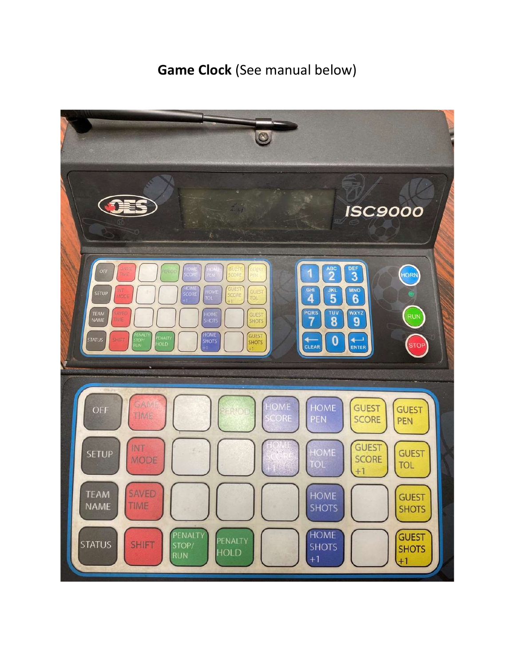# Game Clock (See manual below)

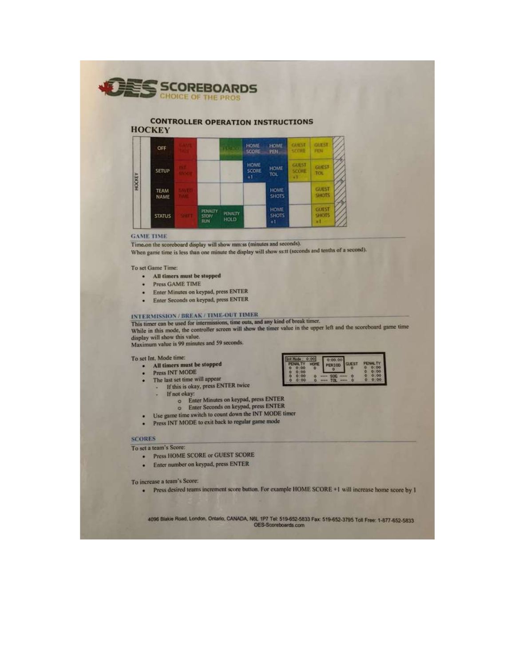

#### **CONTROLLER OPERATION INSTRUCTIONS HOCKEY**



#### **GAME TIME**

Time.on the scoreboard display will show mm:ss (minutes and seconds).

When game time is less than one minute the display will show ss:tt (seconds and tenths of a second).

#### To set Game Time:

- · All timers must be stopped
- Press GAME TIME ¥
- Enter Minutes on keypad, press ENTER  $\bullet$
- Enter Seconds on keypad, press ENTER

### INTERMISSION / BREAK / TIME-OUT TIMER

This timer can be used for intermissions, time outs, and any kind of break timer. While in this mode, the controller screen will show the timer value in the upper left and the scoreboard game time

001939

display will show this value.

Maximum value is 99 minutes and 59 seconds.

#### To set Int. Mode time:

 $\equiv$ 

- · All timers must be stopped
- Press INT MODE  $\cdot$
- The last set time will appear
	- If this is okay, press ENTER twice ×.
		- If not okay:
			- o Enter Minutes on keypad, press ENTER
			- o Enter Seconds on keypad, press ENTER
- Use game time switch to count down the INT MODE timer
- · Press INT MODE to exit back to regular game mode

#### **SCORES**

۵

٠

To set a team's Score:

- Press HOME SCORE or GUEST SCORE
- · Enter number on keypad, press ENTER

To increase a team's Score:

· Press desired teams increment score button. For example HOME SCORE +1 will increase home score by 1

4096 Blakie Road, London, Ontario, CANADA, N6L 1P7 Tel: 519-652-5833 Fax: 519-652-3795 Toll Free: 1-877-652-5833